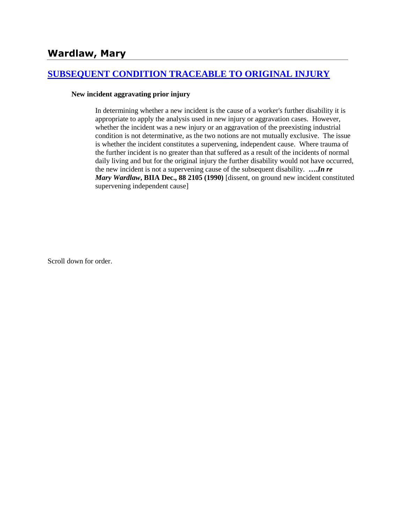# **[SUBSEQUENT CONDITION TRACEABLE TO ORIGINAL INJURY](http://www.biia.wa.gov/SDSubjectIndex.html#SUBSEQUENT_CONDITION_TRACEABLE_TO_ORIGINAL_INJURY)**

#### **New incident aggravating prior injury**

In determining whether a new incident is the cause of a worker's further disability it is appropriate to apply the analysis used in new injury or aggravation cases. However, whether the incident was a new injury or an aggravation of the preexisting industrial condition is not determinative, as the two notions are not mutually exclusive. The issue is whether the incident constitutes a supervening, independent cause. Where trauma of the further incident is no greater than that suffered as a result of the incidents of normal daily living and but for the original injury the further disability would not have occurred, the new incident is not a supervening cause of the subsequent disability. **….***In re Mary Wardlaw***, BIIA Dec., 88 2105 (1990)** [dissent, on ground new incident constituted supervening independent cause]

Scroll down for order.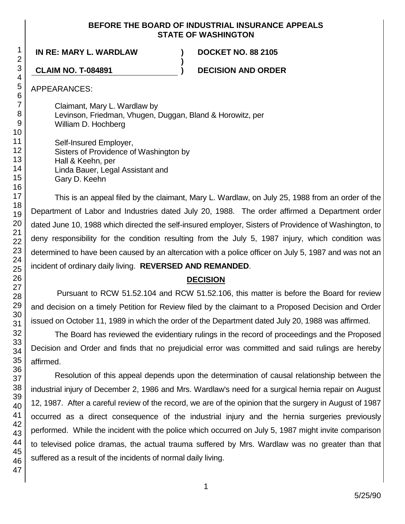### **BEFORE THE BOARD OF INDUSTRIAL INSURANCE APPEALS STATE OF WASHINGTON**

**)**

**IN RE: MARY L. WARDLAW ) DOCKET NO. 88 2105**

**CLAIM NO. T-084891 ) DECISION AND ORDER**

APPEARANCES:

Claimant, Mary L. Wardlaw by Levinson, Friedman, Vhugen, Duggan, Bland & Horowitz, per William D. Hochberg

Self-Insured Employer, Sisters of Providence of Washington by Hall & Keehn, per Linda Bauer, Legal Assistant and Gary D. Keehn

This is an appeal filed by the claimant, Mary L. Wardlaw, on July 25, 1988 from an order of the Department of Labor and Industries dated July 20, 1988. The order affirmed a Department order dated June 10, 1988 which directed the self-insured employer, Sisters of Providence of Washington, to deny responsibility for the condition resulting from the July 5, 1987 injury, which condition was determined to have been caused by an altercation with a police officer on July 5, 1987 and was not an incident of ordinary daily living. **REVERSED AND REMANDED**.

# **DECISION**

Pursuant to RCW 51.52.104 and RCW 51.52.106, this matter is before the Board for review and decision on a timely Petition for Review filed by the claimant to a Proposed Decision and Order issued on October 11, 1989 in which the order of the Department dated July 20, 1988 was affirmed.

The Board has reviewed the evidentiary rulings in the record of proceedings and the Proposed Decision and Order and finds that no prejudicial error was committed and said rulings are hereby affirmed.

Resolution of this appeal depends upon the determination of causal relationship between the industrial injury of December 2, 1986 and Mrs. Wardlaw's need for a surgical hernia repair on August 12, 1987. After a careful review of the record, we are of the opinion that the surgery in August of 1987 occurred as a direct consequence of the industrial injury and the hernia surgeries previously performed. While the incident with the police which occurred on July 5, 1987 might invite comparison to televised police dramas, the actual trauma suffered by Mrs. Wardlaw was no greater than that suffered as a result of the incidents of normal daily living.

1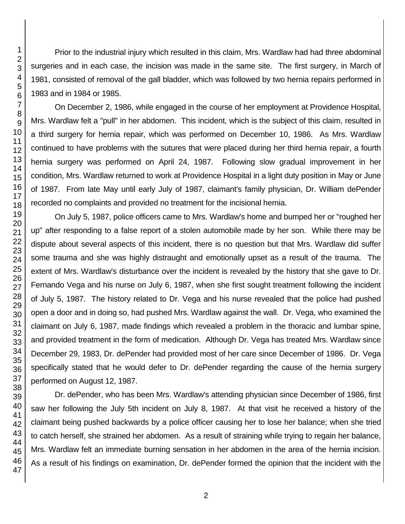Prior to the industrial injury which resulted in this claim, Mrs. Wardlaw had had three abdominal surgeries and in each case, the incision was made in the same site. The first surgery, in March of 1981, consisted of removal of the gall bladder, which was followed by two hernia repairs performed in 1983 and in 1984 or 1985.

On December 2, 1986, while engaged in the course of her employment at Providence Hospital, Mrs. Wardlaw felt a "pull" in her abdomen. This incident, which is the subject of this claim, resulted in a third surgery for hernia repair, which was performed on December 10, 1986. As Mrs. Wardlaw continued to have problems with the sutures that were placed during her third hernia repair, a fourth hernia surgery was performed on April 24, 1987. Following slow gradual improvement in her condition, Mrs. Wardlaw returned to work at Providence Hospital in a light duty position in May or June of 1987. From late May until early July of 1987, claimant's family physician, Dr. William dePender recorded no complaints and provided no treatment for the incisional hernia.

On July 5, 1987, police officers came to Mrs. Wardlaw's home and bumped her or "roughed her up" after responding to a false report of a stolen automobile made by her son. While there may be dispute about several aspects of this incident, there is no question but that Mrs. Wardlaw did suffer some trauma and she was highly distraught and emotionally upset as a result of the trauma. The extent of Mrs. Wardlaw's disturbance over the incident is revealed by the history that she gave to Dr. Fernando Vega and his nurse on July 6, 1987, when she first sought treatment following the incident of July 5, 1987. The history related to Dr. Vega and his nurse revealed that the police had pushed open a door and in doing so, had pushed Mrs. Wardlaw against the wall. Dr. Vega, who examined the claimant on July 6, 1987, made findings which revealed a problem in the thoracic and lumbar spine, and provided treatment in the form of medication. Although Dr. Vega has treated Mrs. Wardlaw since December 29, 1983, Dr. dePender had provided most of her care since December of 1986. Dr. Vega specifically stated that he would defer to Dr. dePender regarding the cause of the hernia surgery performed on August 12, 1987.

Dr. dePender, who has been Mrs. Wardlaw's attending physician since December of 1986, first saw her following the July 5th incident on July 8, 1987. At that visit he received a history of the claimant being pushed backwards by a police officer causing her to lose her balance; when she tried to catch herself, she strained her abdomen. As a result of straining while trying to regain her balance, Mrs. Wardlaw felt an immediate burning sensation in her abdomen in the area of the hernia incision. As a result of his findings on examination, Dr. dePender formed the opinion that the incident with the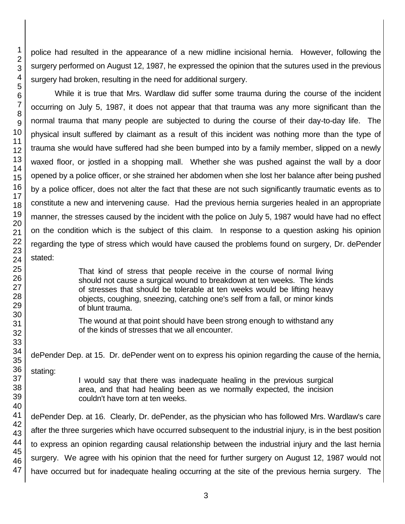police had resulted in the appearance of a new midline incisional hernia. However, following the surgery performed on August 12, 1987, he expressed the opinion that the sutures used in the previous surgery had broken, resulting in the need for additional surgery.

While it is true that Mrs. Wardlaw did suffer some trauma during the course of the incident occurring on July 5, 1987, it does not appear that that trauma was any more significant than the normal trauma that many people are subjected to during the course of their day-to-day life. The physical insult suffered by claimant as a result of this incident was nothing more than the type of trauma she would have suffered had she been bumped into by a family member, slipped on a newly waxed floor, or jostled in a shopping mall. Whether she was pushed against the wall by a door opened by a police officer, or she strained her abdomen when she lost her balance after being pushed by a police officer, does not alter the fact that these are not such significantly traumatic events as to constitute a new and intervening cause. Had the previous hernia surgeries healed in an appropriate manner, the stresses caused by the incident with the police on July 5, 1987 would have had no effect on the condition which is the subject of this claim. In response to a question asking his opinion regarding the type of stress which would have caused the problems found on surgery, Dr. dePender stated:

> That kind of stress that people receive in the course of normal living should not cause a surgical wound to breakdown at ten weeks. The kinds of stresses that should be tolerable at ten weeks would be lifting heavy objects, coughing, sneezing, catching one's self from a fall, or minor kinds of blunt trauma.

The wound at that point should have been strong enough to withstand any of the kinds of stresses that we all encounter.

dePender Dep. at 15. Dr. dePender went on to express his opinion regarding the cause of the hernia,

stating:

I would say that there was inadequate healing in the previous surgical area, and that had healing been as we normally expected, the incision couldn't have torn at ten weeks.

dePender Dep. at 16. Clearly, Dr. dePender, as the physician who has followed Mrs. Wardlaw's care after the three surgeries which have occurred subsequent to the industrial injury, is in the best position to express an opinion regarding causal relationship between the industrial injury and the last hernia surgery. We agree with his opinion that the need for further surgery on August 12, 1987 would not have occurred but for inadequate healing occurring at the site of the previous hernia surgery. The

1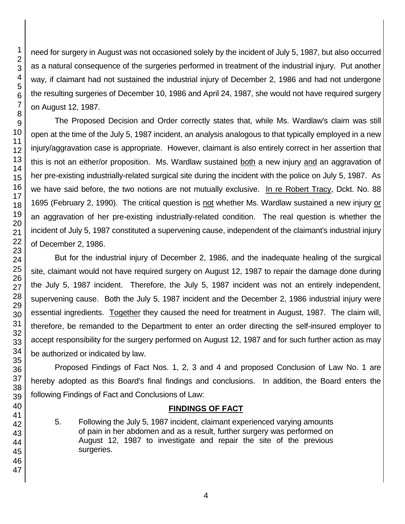need for surgery in August was not occasioned solely by the incident of July 5, 1987, but also occurred as a natural consequence of the surgeries performed in treatment of the industrial injury. Put another way, if claimant had not sustained the industrial injury of December 2, 1986 and had not undergone the resulting surgeries of December 10, 1986 and April 24, 1987, she would not have required surgery on August 12, 1987.

The Proposed Decision and Order correctly states that, while Ms. Wardlaw's claim was still open at the time of the July 5, 1987 incident, an analysis analogous to that typically employed in a new injury/aggravation case is appropriate. However, claimant is also entirely correct in her assertion that this is not an either/or proposition. Ms. Wardlaw sustained both a new injury and an aggravation of her pre-existing industrially-related surgical site during the incident with the police on July 5, 1987. As we have said before, the two notions are not mutually exclusive. In re Robert Tracy, Dckt. No. 88 1695 (February 2, 1990). The critical question is not whether Ms. Wardlaw sustained a new injury or an aggravation of her pre-existing industrially-related condition. The real question is whether the incident of July 5, 1987 constituted a supervening cause, independent of the claimant's industrial injury of December 2, 1986.

But for the industrial injury of December 2, 1986, and the inadequate healing of the surgical site, claimant would not have required surgery on August 12, 1987 to repair the damage done during the July 5, 1987 incident. Therefore, the July 5, 1987 incident was not an entirely independent, supervening cause. Both the July 5, 1987 incident and the December 2, 1986 industrial injury were essential ingredients. Together they caused the need for treatment in August, 1987. The claim will, therefore, be remanded to the Department to enter an order directing the self-insured employer to accept responsibility for the surgery performed on August 12, 1987 and for such further action as may be authorized or indicated by law.

Proposed Findings of Fact Nos. 1, 2, 3 and 4 and proposed Conclusion of Law No. 1 are hereby adopted as this Board's final findings and conclusions. In addition, the Board enters the following Findings of Fact and Conclusions of Law:

# **FINDINGS OF FACT**

5. Following the July 5, 1987 incident, claimant experienced varying amounts of pain in her abdomen and as a result, further surgery was performed on August 12, 1987 to investigate and repair the site of the previous surgeries.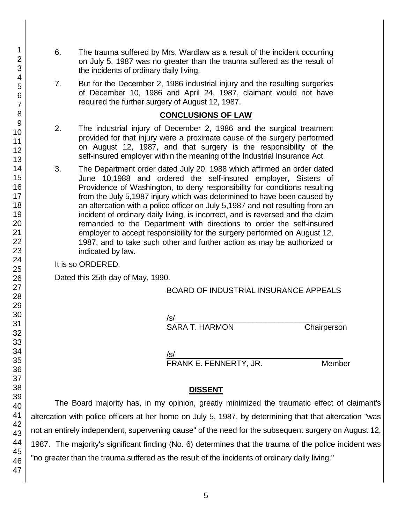- 6. The trauma suffered by Mrs. Wardlaw as a result of the incident occurring on July 5, 1987 was no greater than the trauma suffered as the result of the incidents of ordinary daily living.
- 7. But for the December 2, 1986 industrial injury and the resulting surgeries of December 10, 1986 and April 24, 1987, claimant would not have required the further surgery of August 12, 1987.

### **CONCLUSIONS OF LAW**

- 2. The industrial injury of December 2, 1986 and the surgical treatment provided for that injury were a proximate cause of the surgery performed on August 12, 1987, and that surgery is the responsibility of the self-insured employer within the meaning of the Industrial Insurance Act.
- 3. The Department order dated July 20, 1988 which affirmed an order dated June 10,1988 and ordered the self-insured employer, Sisters of Providence of Washington, to deny responsibility for conditions resulting from the July 5,1987 injury which was determined to have been caused by an altercation with a police officer on July 5,1987 and not resulting from an incident of ordinary daily living, is incorrect, and is reversed and the claim remanded to the Department with directions to order the self-insured employer to accept responsibility for the surgery performed on August 12, 1987, and to take such other and further action as may be authorized or indicated by law.

It is so ORDERED.

Dated this 25th day of May, 1990.

BOARD OF INDUSTRIAL INSURANCE APPEALS

/s/  $\,$ 

SARA T. HARMON Chairperson

/s/  $\,$ FRANK E. FENNERTY, JR. Member

## **DISSENT**

The Board majority has, in my opinion, greatly minimized the traumatic effect of claimant's altercation with police officers at her home on July 5, 1987, by determining that that altercation "was not an entirely independent, supervening cause" of the need for the subsequent surgery on August 12, 1987. The majority's significant finding (No. 6) determines that the trauma of the police incident was "no greater than the trauma suffered as the result of the incidents of ordinary daily living."